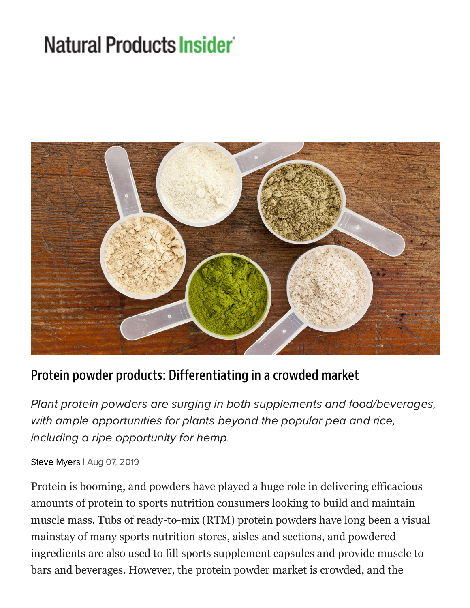# Natural Products Insider



#### Protein powder products: Differentiating in a crowded market

Plant protein powders are surging in both supplements and food/beverages, with ample opportunities for plants beyond the popular pea and rice, including a ripe opportunity for hemp.

Steve [Myers](https://www.naturalproductsinsider.com/author/Steve-Myers) | Aug 07, 2019

Protein is booming, and powders have played a huge role in delivering efficacious amounts of protein to sports nutrition consumers looking to build and maintain muscle mass. Tubs of ready-to-mix (RTM) protein powders have long been a visual mainstay of many sports nutrition stores, aisles and sections, and powdered ingredients are also used to fill sports supplement capsules and provide muscle to bars and beverages. However, the protein powder market is crowded, and the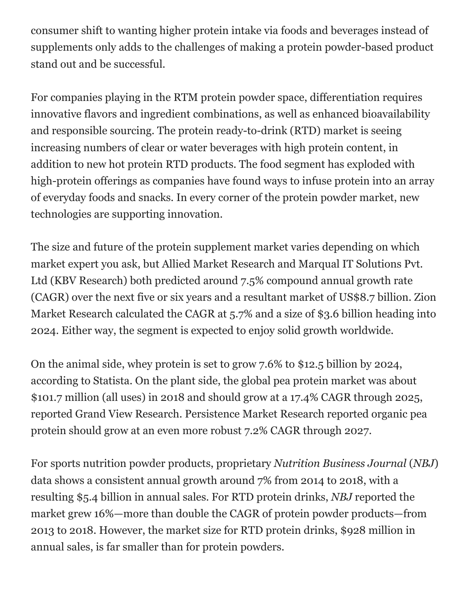consumer shift to wanting higher protein intake via foods and beverages instead of supplements only adds to the challenges of making a protein powder-based product stand out and be successful.

For companies playing in the RTM protein powder space, differentiation requires innovative flavors and ingredient combinations, as well as enhanced bioavailability and responsible sourcing. The protein ready-to-drink (RTD) market is seeing increasing numbers of clear or water beverages with high protein content, in addition to new hot protein RTD products. The food segment has exploded with high-protein offerings as companies have found ways to infuse protein into an array of everyday foods and snacks. In every corner of the protein powder market, new technologies are supporting innovation.

The size and future of the protein supplement market varies depending on which market expert you ask, but Allied Market Research and Marqual IT Solutions Pvt. Ltd (KBV Research) both predicted around 7.5% compound annual growth rate (CAGR) over the next five or six years and a resultant market of US\$8.7 billion. Zion Market Research calculated the CAGR at 5.7% and a size of \$3.6 billion heading into 2024. Either way, the segment is expected to enjoy solid growth worldwide.

On the animal side, whey protein is set to grow 7.6% to \$12.5 billion by 2024, according to Statista. On the plant side, the global pea protein market was about \$101.7 million (all uses) in 2018 and should grow at a 17.4% CAGR through 2025, reported Grand View Research. Persistence Market Research reported organic pea protein should grow at an even more robust 7.2% CAGR through 2027.

For sports nutrition powder products, proprietary *Nutrition Business Journal* (*NBJ*) data shows a consistent annual growth around 7% from 2014 to 2018, with a resulting \$5.4 billion in annual sales. For RTD protein drinks, *NBJ* reported the market grew 16%—more than double the CAGR of protein powder products—from 2013 to 2018. However, the market size for RTD protein drinks, \$928 million in annual sales, is far smaller than for protein powders.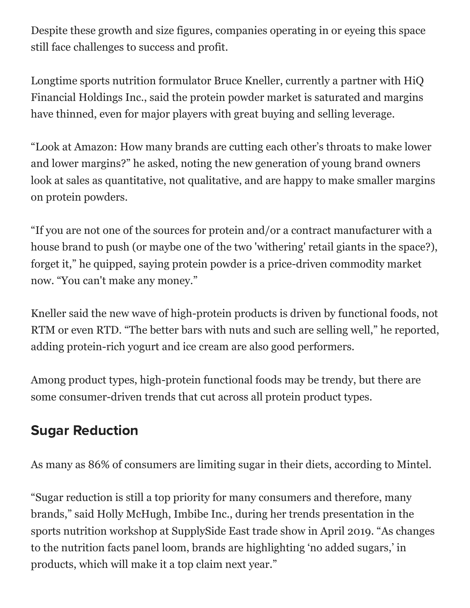Despite these growth and size figures, companies operating in or eyeing this space still face challenges to success and profit.

Longtime sports nutrition formulator Bruce Kneller, currently a partner with HiQ Financial Holdings Inc., said the protein powder market is saturated and margins have thinned, even for major players with great buying and selling leverage.

"Look at Amazon: How many brands are cutting each other's throats to make lower and lower margins?" he asked, noting the new generation of young brand owners look at sales as quantitative, not qualitative, and are happy to make smaller margins on protein powders.

"If you are not one of the sources for protein and/or a contract manufacturer with a house brand to push (or maybe one of the two 'withering' retail giants in the space?), forget it," he quipped, saying protein powder is a price-driven commodity market now. "You can't make any money."

Kneller said the new wave of high-protein products is driven by functional foods, not RTM or even RTD. "The better bars with nuts and such are selling well," he reported, adding protein-rich yogurt and ice cream are also good performers.

Among product types, high-protein functional foods may be trendy, but there are some consumer-driven trends that cut across all protein product types.

## Sugar Reduction

As many as 86% of consumers are limiting sugar in their diets, according to Mintel.

"Sugar reduction is still a top priority for many consumers and therefore, many brands," said Holly McHugh, Imbibe Inc., during her trends presentation in the sports nutrition workshop at SupplySide East trade show in April 2019. "As changes to the nutrition facts panel loom, brands are highlighting 'no added sugars,' in products, which will make it a top claim next year."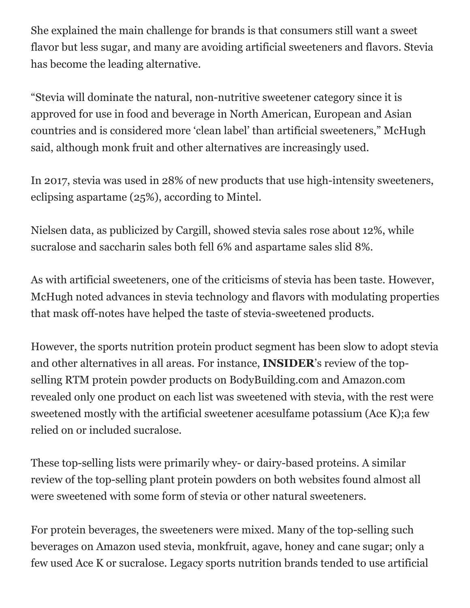She explained the main challenge for brands is that consumers still want a sweet flavor but less sugar, and many are avoiding artificial sweeteners and flavors. Stevia has become the leading alternative.

"Stevia will dominate the natural, non-nutritive sweetener category since it is approved for use in food and beverage in North American, European and Asian countries and is considered more 'clean label' than artificial sweeteners," McHugh said, although monk fruit and other alternatives are increasingly used.

In 2017, stevia was used in 28% of new products that use high-intensity sweeteners, eclipsing aspartame (25%), according to Mintel.

Nielsen data, as publicized by Cargill, showed stevia sales rose about 12%, while sucralose and saccharin sales both fell 6% and aspartame sales slid 8%.

As with artificial sweeteners, one of the criticisms of stevia has been taste. However, McHugh noted advances in stevia technology and flavors with modulating properties that mask off-notes have helped the taste of stevia-sweetened products.

However, the sports nutrition protein product segment has been slow to adopt stevia and other alternatives in all areas. For instance, **INSIDER**'s review of the topselling RTM protein powder products on BodyBuilding.com and Amazon.com revealed only one product on each list was sweetened with stevia, with the rest were sweetened mostly with the artificial sweetener acesulfame potassium (Ace K);a few relied on or included sucralose.

These top-selling lists were primarily whey- or dairy-based proteins. A similar review of the top-selling plant protein powders on both websites found almost all were sweetened with some form of stevia or other natural sweeteners.

For protein beverages, the sweeteners were mixed. Many of the top-selling such beverages on Amazon used stevia, monkfruit, agave, honey and cane sugar; only a few used Ace K or sucralose. Legacy sports nutrition brands tended to use artificial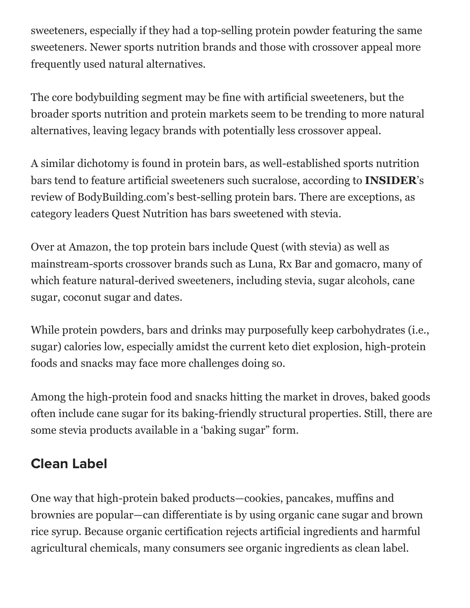sweeteners, especially if they had a top-selling protein powder featuring the same sweeteners. Newer sports nutrition brands and those with crossover appeal more frequently used natural alternatives.

The core bodybuilding segment may be fine with artificial sweeteners, but the broader sports nutrition and protein markets seem to be trending to more natural alternatives, leaving legacy brands with potentially less crossover appeal.

A similar dichotomy is found in protein bars, as well-established sports nutrition bars tend to feature artificial sweeteners such sucralose, according to **INSIDER**'s review of BodyBuilding.com's best-selling protein bars. There are exceptions, as category leaders Quest Nutrition has bars sweetened with stevia.

Over at Amazon, the top protein bars include Quest (with stevia) as well as mainstream-sports crossover brands such as Luna, Rx Bar and gomacro, many of which feature natural-derived sweeteners, including stevia, sugar alcohols, cane sugar, coconut sugar and dates.

While protein powders, bars and drinks may purposefully keep carbohydrates (i.e., sugar) calories low, especially amidst the current keto diet explosion, high-protein foods and snacks may face more challenges doing so.

Among the high-protein food and snacks hitting the market in droves, baked goods often include cane sugar for its baking-friendly structural properties. Still, there are some stevia products available in a 'baking sugar" form.

#### Clean Label

One way that high-protein baked products—cookies, pancakes, muffins and brownies are popular—can differentiate is by using organic cane sugar and brown rice syrup. Because organic certification rejects artificial ingredients and harmful agricultural chemicals, many consumers see organic ingredients as clean label.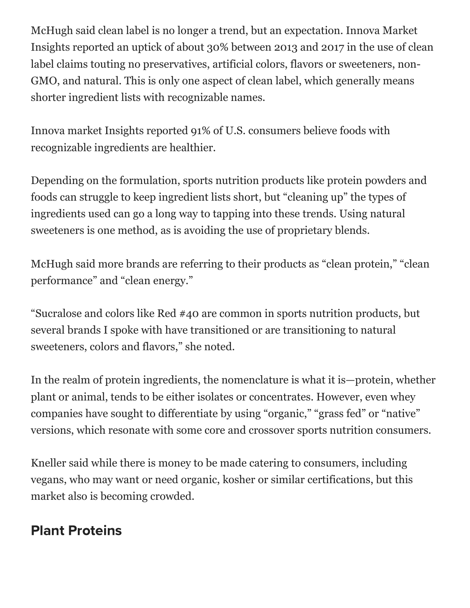McHugh said clean label is no longer a trend, but an expectation. Innova Market Insights reported an uptick of about 30% between 2013 and 2017 in the use of clean label claims touting no preservatives, artificial colors, flavors or sweeteners, non-GMO, and natural. This is only one aspect of clean label, which generally means shorter ingredient lists with recognizable names.

Innova market Insights reported 91% of U.S. consumers believe foods with recognizable ingredients are healthier.

Depending on the formulation, sports nutrition products like protein powders and foods can struggle to keep ingredient lists short, but "cleaning up" the types of ingredients used can go a long way to tapping into these trends. Using natural sweeteners is one method, as is avoiding the use of proprietary blends.

McHugh said more brands are referring to their products as "clean protein," "clean performance" and "clean energy."

"Sucralose and colors like Red #40 are common in sports nutrition products, but several brands I spoke with have transitioned or are transitioning to natural sweeteners, colors and flavors," she noted.

In the realm of protein ingredients, the nomenclature is what it is—protein, whether plant or animal, tends to be either isolates or concentrates. However, even whey companies have sought to differentiate by using "organic," "grass fed" or "native" versions, which resonate with some core and crossover sports nutrition consumers.

Kneller said while there is money to be made catering to consumers, including vegans, who may want or need organic, kosher or similar certifications, but this market also is becoming crowded.

### Plant Proteins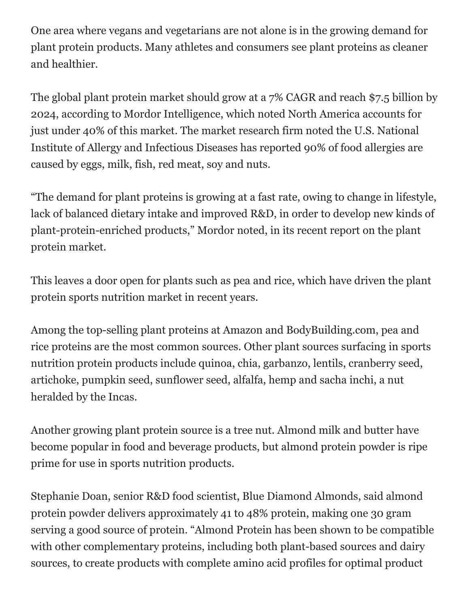One area where vegans and vegetarians are not alone is in the growing demand for plant protein products. Many athletes and consumers see plant proteins as cleaner and healthier.

The global plant protein market should grow at a 7% CAGR and reach \$7.5 billion by 2024, according to Mordor Intelligence, which noted North America accounts for just under 40% of this market. The market research firm noted the U.S. National Institute of Allergy and Infectious Diseases has reported 90% of food allergies are caused by eggs, milk, fish, red meat, soy and nuts.

"The demand for plant proteins is growing at a fast rate, owing to change in lifestyle, lack of balanced dietary intake and improved R&D, in order to develop new kinds of plant-protein-enriched products," Mordor noted, in its recent report on the plant protein market.

This leaves a door open for plants such as pea and rice, which have driven the plant protein sports nutrition market in recent years.

Among the top-selling plant proteins at Amazon and BodyBuilding.com, pea and rice proteins are the most common sources. Other plant sources surfacing in sports nutrition protein products include quinoa, chia, garbanzo, lentils, cranberry seed, artichoke, pumpkin seed, sunflower seed, alfalfa, hemp and sacha inchi, a nut heralded by the Incas.

Another growing plant protein source is a tree nut. Almond milk and butter have become popular in food and beverage products, but almond protein powder is ripe prime for use in sports nutrition products.

Stephanie Doan, senior R&D food scientist, Blue Diamond Almonds, said almond protein powder delivers approximately 41 to 48% protein, making one 30 gram serving a good source of protein. "Almond Protein has been shown to be compatible with other complementary proteins, including both plant-based sources and dairy sources, to create products with complete amino acid profiles for optimal product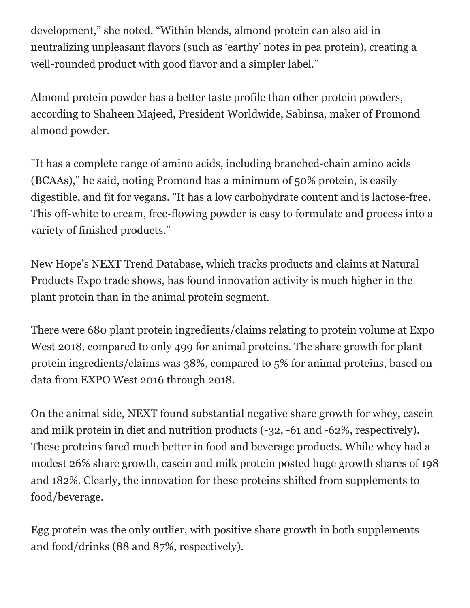development," she noted. "Within blends, almond protein can also aid in neutralizing unpleasant flavors (such as 'earthy' notes in pea protein), creating a well-rounded product with good flavor and a simpler label."

Almond protein powder has a better taste profile than other protein powders, according to Shaheen Majeed, President Worldwide, Sabinsa, maker of Promond almond powder.

"It has a complete range of amino acids, including branched-chain amino acids (BCAAs)," he said, noting Promond has a minimum of 50% protein, is easily digestible, and fit for vegans. "It has a low carbohydrate content and is lactose-free. This off-white to cream, free-flowing powder is easy to formulate and process into a variety of finished products."

New Hope's NEXT Trend Database, which tracks products and claims at Natural Products Expo trade shows, has found innovation activity is much higher in the plant protein than in the animal protein segment.

There were 680 plant protein ingredients/claims relating to protein volume at Expo West 2018, compared to only 499 for animal proteins. The share growth for plant protein ingredients/claims was 38%, compared to 5% for animal proteins, based on data from EXPO West 2016 through 2018.

On the animal side, NEXT found substantial negative share growth for whey, casein and milk protein in diet and nutrition products (-32, -61 and -62%, respectively). These proteins fared much better in food and beverage products. While whey had a modest 26% share growth, casein and milk protein posted huge growth shares of 198 and 182%. Clearly, the innovation for these proteins shifted from supplements to food/beverage.

Egg protein was the only outlier, with positive share growth in both supplements and food/drinks (88 and 87%, respectively).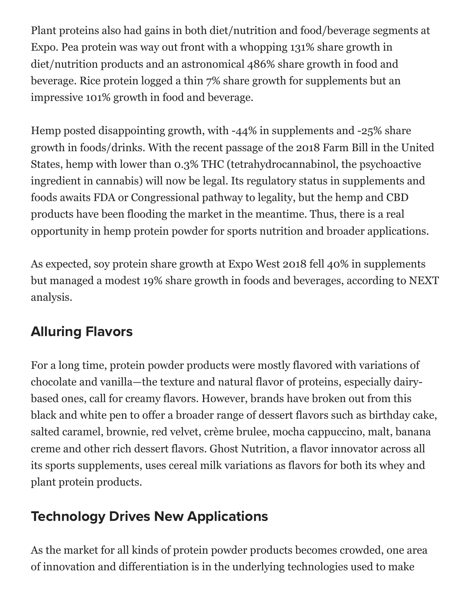Plant proteins also had gains in both diet/nutrition and food/beverage segments at Expo. Pea protein was way out front with a whopping 131% share growth in diet/nutrition products and an astronomical 486% share growth in food and beverage. Rice protein logged a thin 7% share growth for supplements but an impressive 101% growth in food and beverage.

Hemp posted disappointing growth, with -44% in supplements and -25% share growth in foods/drinks. With the recent passage of the 2018 Farm Bill in the United States, hemp with lower than 0.3% THC (tetrahydrocannabinol, the psychoactive ingredient in cannabis) will now be legal. Its regulatory status in supplements and foods awaits FDA or Congressional pathway to legality, but the hemp and CBD products have been flooding the market in the meantime. Thus, there is a real opportunity in hemp protein powder for sports nutrition and broader applications.

As expected, soy protein share growth at Expo West 2018 fell 40% in supplements but managed a modest 19% share growth in foods and beverages, according to NEXT analysis.

## Alluring Flavors

For a long time, protein powder products were mostly flavored with variations of chocolate and vanilla—the texture and natural flavor of proteins, especially dairybased ones, call for creamy flavors. However, brands have broken out from this black and white pen to offer a broader range of dessert flavors such as birthday cake, salted caramel, brownie, red velvet, crème brulee, mocha cappuccino, malt, banana creme and other rich dessert flavors. Ghost Nutrition, a flavor innovator across all its sports supplements, uses cereal milk variations as flavors for both its whey and plant protein products.

## Technology Drives New Applications

As the market for all kinds of protein powder products becomes crowded, one area of innovation and differentiation is in the underlying technologies used to make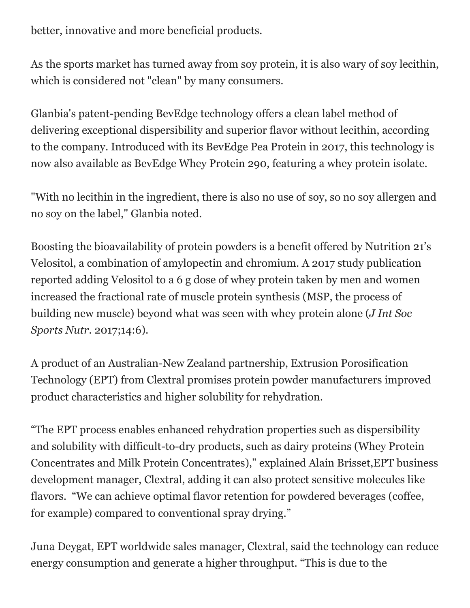better, innovative and more beneficial products.

As the sports market has turned away from soy protein, it is also wary of soy lecithin, which is considered not "clean" by many consumers.

Glanbia's patent-pending BevEdge technology offers a clean label method of delivering exceptional dispersibility and superior flavor without lecithin, according to the company. Introduced with its BevEdge Pea Protein in 2017, this technology is now also available as BevEdge Whey Protein 290, featuring a whey protein isolate.

"With no lecithin in the ingredient, there is also no use of soy, so no soy allergen and no soy on the label," Glanbia noted.

Boosting the bioavailability of protein powders is a benefit offered by Nutrition 21's Velositol, a combination of amylopectin and chromium. A 2017 study publication reported adding Velositol to a 6 g dose of whey protein taken by men and women increased the fractional rate of muscle protein synthesis (MSP, the process of building new muscle) beyond what was seen with whey protein alone (*J Int Soc Sports Nutr*. 2017;14:6).

A product of an Australian-New Zealand partnership, Extrusion Porosification Technology (EPT) from Clextral promises protein powder manufacturers improved product characteristics and higher solubility for rehydration.

"The EPT process enables enhanced rehydration properties such as dispersibility and solubility with difficult-to-dry products, such as dairy proteins (Whey Protein Concentrates and Milk Protein Concentrates)," explained Alain Brisset,EPT business development manager, Clextral, adding it can also protect sensitive molecules like flavors. "We can achieve optimal flavor retention for powdered beverages (coffee, for example) compared to conventional spray drying."

Juna Deygat, EPT worldwide sales manager, Clextral, said the technology can reduce energy consumption and generate a higher throughput. "This is due to the